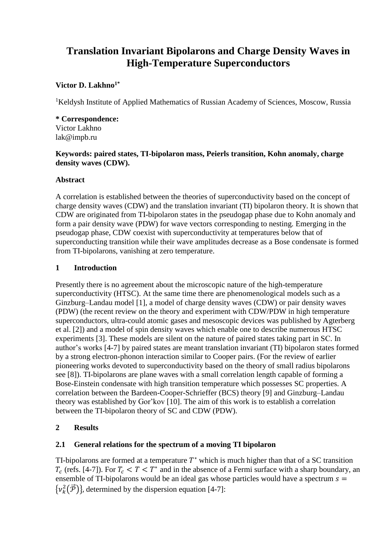# **Translation Invariant Bipolarons and Charge Density Waves in High-Temperature Superconductors**

# **Victor D. Lakhno1\***

<sup>1</sup>Keldysh Institute of Applied Mathematics of Russian Academy of Sciences, Moscow, Russia

# **\* Correspondence:**

Victor Lakhno lak@impb.ru

#### **Keywords: paired states, TI-bipolaron mass, Peierls transition, Kohn anomaly, charge density waves (CDW).**

#### **Abstract**

A correlation is established between the theories of superconductivity based on the concept of charge density waves (CDW) and the translation invariant (TI) bipolaron theory. It is shown that CDW are originated from TI-bipolaron states in the pseudogap phase due to Kohn anomaly and form a pair density wave (PDW) for wave vectors corresponding to nesting. Emerging in the pseudogap phase, CDW coexist with superconductivity at temperatures below that of superconducting transition while their wave amplitudes decrease as a Bose condensate is formed from TI-bipolarons, vanishing at zero temperature.

### **1 Introduction**

Presently there is no agreement about the microscopic nature of the high-temperature superconductivity (HTSC). At the same time there are phenomenological models such as a Ginzburg–Landau model [1], a model of charge density waves (CDW) or pair density waves (PDW) (the recent review on the theory and experiment with CDW/PDW in high temperature superconductors, ultra-could atomic gases and mesoscopic devices was published by Agterberg et al. [2]) and a model of spin density waves which enable one to describe numerous HTSC experiments [3]. These models are silent on the nature of paired states taking part in SС. In author's works [4-7] by paired states are meant translation invariant (TI) bipolaron states formed by a strong electron-phonon interaction similar to Cooper pairs. (For the review of earlier pioneering works devoted to superconductivity based on the theory of small radius bipolarons see [8]). TI-bipolarons are plane waves with a small correlation length capable of forming a Bose-Einstein condensate with high transition temperature which possesses SC properties. A correlation between the Bardeen-Cooper-Schrieffer (BCS) theory [9] and Ginzburg–Landau theory was established by Gor'kov [10]. The aim of this work is to establish a correlation between the TI-bipolaron theory of SC and CDW (PDW).

### **2 Results**

#### **2.1 General relations for the spectrum of a moving TI bipolaron**

TI-bipolarons are formed at a temperature  $T^*$  which is much higher than that of a SC transition  $T_c$  (refs. [4-7]). For  $T_c < T < T^*$  and in the absence of a Fermi surface with a sharp boundary, an ensemble of TI-bipolarons would be an ideal gas whose particles would have a spectrum  $s =$  $\{v_k^2(\vec{\mathcal{P}})\}\$ , determined by the dispersion equation [4-7]: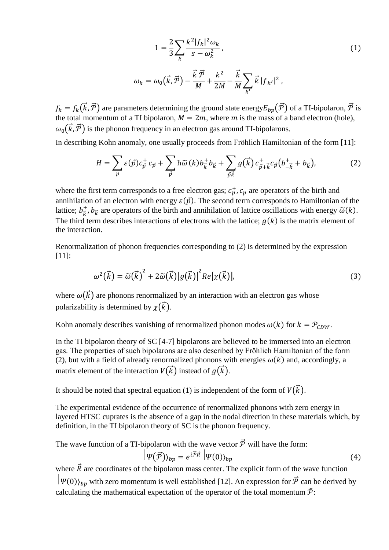$$
1 = \frac{2}{3} \sum_{k} \frac{k^{2} |f_{k}|^{2} \omega_{k}}{s - \omega_{k}^{2}},
$$
  

$$
\omega_{k} = \omega_{0}(\vec{k}, \vec{P}) - \frac{\vec{k}\,\vec{P}}{M} + \frac{k^{2}}{2M} - \frac{\vec{k}}{M} \sum_{k'} \vec{k} |f_{k'}|^{2},
$$
 (1)

 $f_k = f_k(\vec{k}, \vec{P})$  are parameters determining the ground state energy  $E_{bp}(\vec{P})$  of a TI-bipolaron,  $\vec{P}$  is the total momentum of a TI bipolaron,  $M = 2m$ , where m is the mass of a band electron (hole),  $\omega_0(\vec{k}, \vec{\mathcal{P}})$  is the phonon frequency in an electron gas around TI-bipolarons.

In describing Kohn anomaly, one usually proceeds from Frӧhlich Hamiltonian of the form [11]:

$$
H = \sum_{p} \varepsilon(\vec{p}) c_{\vec{p}}^{+} c_{\vec{p}} + \sum_{\vec{p}} \hbar \widetilde{\omega} (k) b_{\vec{k}}^{+} b_{\vec{k}} + \sum_{\vec{p} \cdot \vec{k}} g(\vec{k}) c_{\vec{p} + \vec{k}}^{+} c_{\vec{p}} (b_{-\vec{k}}^{+} + b_{\vec{k}}), \tag{2}
$$

where the first term corresponds to a free electron gas;  $c_p^+$ ,  $c_p$  are operators of the birth and annihilation of an electron with energy  $\varepsilon(\vec{p})$ . The second term corresponds to Hamiltonian of the lattice;  $b_{\vec{k}}^+$ ,  $b_{\vec{k}}$  are operators of the birth and annihilation of lattice oscillations with energy  $\tilde{\omega}(k)$ . The third term describes interactions of electrons with the lattice;  $q(k)$  is the matrix element of the interaction.

Renormalization of phonon frequencies corresponding to (2) is determined by the expression [11]:

$$
\omega^2(\vec{k}) = \tilde{\omega}(\vec{k})^2 + 2\tilde{\omega}(\vec{k})|g(\vec{k})|^2 Re[\chi(\vec{k})],
$$
\n(3)

where  $\omega(\vec{k})$  are phonons renormalized by an interaction with an electron gas whose polarizability is determined by  $\chi(\vec{k})$ .

Kohn anomaly describes vanishing of renormalized phonon modes  $\omega(k)$  for  $k = P_{CDW}$ .

In the TI bipolaron theory of SC [4-7] bipolarons are believed to be immersed into an electron gas. The properties of such bipolarons are also described by Frӧhlich Hamiltonian of the form (2), but with a field of already renormalized phonons with energies  $\omega(k)$  and, accordingly, a matrix element of the interaction  $V(\vec{k})$  instead of  $g(\vec{k})$ .

It should be noted that spectral equation (1) is independent of the form of  $V(\vec{k})$ .

The experimental evidence of the occurrence of renormalized phonons with zero energy in layered HTSC cuprates is the absence of a gap in the nodal direction in these materials which, by definition, in the TI bipolaron theory of SC is the phonon frequency.

The wave function of a TI-bipolaron with the wave vector  $\vec{P}$  will have the form:

$$
|\psi(\vec{\mathcal{P}})\rangle_{bp} = e^{i\vec{\mathcal{P}}\vec{R}} | \psi(0)\rangle_{bp} \tag{4}
$$

where  $\vec{R}$  are coordinates of the bipolaron mass center. The explicit form of the wave function  $|\psi(0)\rangle_{bp}$  with zero momentum is well established [12]. An expression for  $\vec{\mathcal{P}}$  can be derived by calculating the mathematical expectation of the operator of the total momentum  $\hat{\mathcal{P}}$ :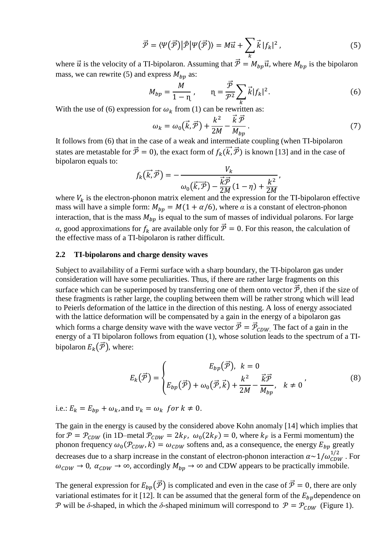$$
\vec{\mathcal{P}} = \langle \Psi(\vec{\mathcal{P}}) | \hat{\mathcal{P}} | \Psi(\vec{\mathcal{P}}) \rangle = M \vec{u} + \sum_{k} \vec{k} |f_k|^2, \qquad (5)
$$

where  $\vec{u}$  is the velocity of a TI-bipolaron. Assuming that  $\vec{P} = M_{bp} \vec{u}$ , where  $M_{bp}$  is the bipolaron mass, we can rewrite (5) and express  $M_{bn}$  as:

$$
M_{bp} = \frac{M}{1 - \eta}, \qquad \eta = \frac{\vec{\mathcal{P}}}{\mathcal{P}^2} \sum_{k} \vec{k} |f_k|^2.
$$
 (6)

With the use of (6) expression for  $\omega_k$  from (1) can be rewritten as:

$$
\omega_k = \omega_0(\vec{k}, \vec{\mathcal{P}}) + \frac{k^2}{2M} - \frac{\vec{k}\,\vec{\mathcal{P}}}{M_{bp}}.
$$
\n
$$
(7)
$$

It follows from (6) that in the case of a weak and intermediate coupling (when TI-bipolaron states are metastable for  $\vec{P} = 0$ ), the exact form of  $f_k(\vec{k}, \vec{P})$  is known [13] and in the case of bipolaron equals to:

$$
f_k(\vec{k},\vec{\mathcal{P}})=-\frac{V_k}{\omega_0(\vec{k},\vec{\mathcal{P}})-\frac{\vec{k}\vec{\mathcal{P}}}{2M}(1-\eta)+\frac{k^2}{2M}},
$$

where  $V_k$  is the electron-phonon matrix element and the expression for the TI-bipolaron effective mass will have a simple form:  $M_{bp} = M(1 + \alpha/6)$ , where  $\alpha$  is a constant of electron-phonon interaction, that is the mass  $M_{bp}$  is equal to the sum of masses of individual polarons. For large *α*, good approximations for  $f_k$  are available only for  $\vec{P} = 0$ . For this reason, the calculation of the effective mass of a TI-bipolaron is rather difficult.

#### **2.2 TI-bipolarons and charge density waves**

Subject to availability of a Fermi surface with a sharp boundary, the TI-bipolaron gas under consideration will have some peculiarities. Thus, if there are rather large fragments on this surface which can be superimposed by transferring one of them onto vector  $\vec{P}$ , then if the size of these fragments is rather large, the coupling between them will be rather strong which will lead to Peierls deformation of the lattice in the direction of this nesting. A loss of energy associated with the lattice deformation will be compensated by a gain in the energy of a bipolaron gas which forms a charge density wave with the wave vector  $\vec{P} = \vec{P}_{CDW}$ . The fact of a gain in the energy of a TI bipolaron follows from equation (1), whose solution leads to the spectrum of a TIbipolaron  $E_k(\vec{\mathcal{P}})$ , where:

$$
E_k(\vec{\mathcal{P}}) = \begin{cases} E_{bp}(\vec{\mathcal{P}}), & k = 0\\ E_{bp}(\vec{\mathcal{P}}) + \omega_0(\vec{\mathcal{P}}, \vec{k}) + \frac{k^2}{2M} - \frac{\vec{k}\vec{\mathcal{P}}}{M_{bp}}, & k \neq 0 \end{cases} (8)
$$

i.e.:  $E_k = E_{bn} + \omega_k$ , and  $v_k = \omega_k$  for  $k \neq 0$ .

The gain in the energy is caused by the considered above Kohn anomaly [14] which implies that for  $P = P_{CDW}$  (in 1D–metal  $P_{CDW} = 2k_F$ ,  $\omega_0(2k_F) = 0$ , where  $k_F$  is a Fermi momentum) the phonon frequency  $\omega_0(\mathcal{P}_{CDW}, k) = \omega_{CDW}$  softens and, as a consequence, the energy  $E_{bp}$  greatly decreases due to a sharp increase in the constant of electron-phonon interaction  $\alpha \sim 1/\omega_{CDW}^{1/2}$ . For  $\omega_{CDW} \to 0$ ,  $\alpha_{CDW} \to \infty$ , accordingly  $M_{bp} \to \infty$  and CDW appears to be practically immobile.

The general expression for  $E_{bn}(\vec{\mathcal{P}})$  is complicated and even in the case of  $\vec{\mathcal{P}} = 0$ , there are only variational estimates for it [12]. It can be assumed that the general form of the  $E_{bn}$  dependence on P will be  $\delta$ -shaped, in which the  $\delta$ -shaped minimum will correspond to  $\mathcal{P} = \mathcal{P}_{CDW}$  (Figure 1).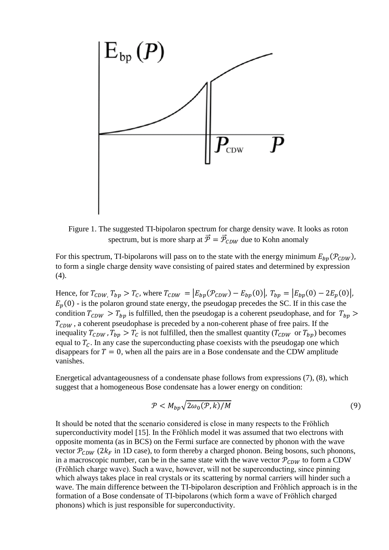

Figure 1. The suggested TI-bipolaron spectrum for charge density wave. It looks as roton spectrum, but is more sharp at  $\vec{P} = \vec{P}_{CDW}$  due to Kohn anomaly

For this spectrum, TI-bipolarons will pass on to the state with the energy minimum  $E_{bn}(\mathcal{P}_{CDW})$ , to form a single charge density wave consisting of paired states and determined by expression (4).

Hence, for  $T_{CDW}$ ,  $T_{bp} > T_c$ , where  $T_{CDW} = |E_{bp}(\mathcal{P}_{CDW}) - E_{bp}(0)|$ ,  $T_{bp} = |E_{bp}(0) - 2E_p(0)|$ ,  $E_p(0)$  - is the polaron ground state energy, the pseudogap precedes the SC. If in this case the condition  $T_{CDW} > T_{bp}$  is fulfilled, then the pseudogap is a coherent pseudophase, and for  $T_{bp}$  $T_{CDW}$ , a coherent pseudophase is preceded by a non-coherent phase of free pairs. If the inequality  $T_{CDW}$ ,  $T_{bp} > T_c$  is not fulfilled, then the smallest quantity  $(T_{CDW}$  or  $T_{bp}$ ) becomes equal to  $T_c$ . In any case the superconducting phase coexists with the pseudogap one which disappears for  $T = 0$ , when all the pairs are in a Bose condensate and the CDW amplitude vanishes.

Energetical advantageousness of а condensate phase follows from expressions (7), (8), which suggest that a homogeneous Bose condensate has a lower energy on condition:

$$
\mathcal{P} < M_{bp} \sqrt{2\omega_0(\mathcal{P}, k)/M} \tag{9}
$$

It should be noted that the scenario considered is close in many respects to the Frӧhlich superconductivity model [15]. In the Fröhlich model it was assumed that two electrons with opposite momenta (as in BCS) on the Fermi surface are connected by phonon with the wave vector  $P_{CDW}$  (2 $k_F$  in 1D case), to form thereby a charged phonon. Being bosons, such phonons, in a macroscopic number, can be in the same state with the wave vector  $P_{CDW}$  to form a CDW (Frӧhlich charge wave). Such a wave, however, will not be superconducting, since pinning which always takes place in real crystals or its scattering by normal carriers will hinder such a wave. The main difference between the TI-bipolaron description and Fröhlich approach is in the formation of a Bose condensate of TI-bipolarons (which form a wave of Fröhlich charged phonons) which is just responsible for superconductivity.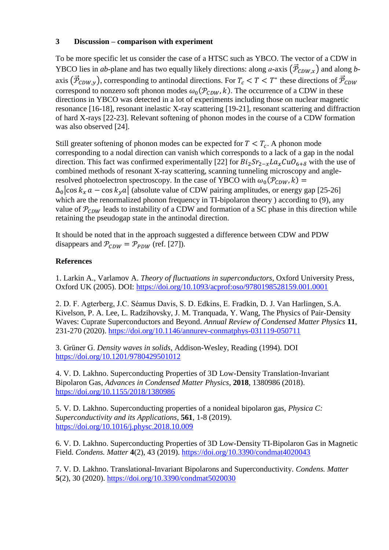## **3 Discussion – comparison with experiment**

To be more specific let us consider the case of a HTSC such as YBCO. The vector of a CDW in YBCO lies in *ab*-plane and has two equally likely directions: along *a*-axis  $(\vec{P}_{CDW,x})$  and along *b*axis  $(\vec{P}_{CDW,y})$ , corresponding to antinodal directions. For  $T_c < T < T^*$  these directions of  $\vec{P}_{CDW}$ correspond to nonzero soft phonon modes  $\omega_0(\mathcal{P}_{CDW}, k)$ . The occurrence of a CDW in these directions in YBCO was detected in a lot of experiments including those on nuclear magnetic resonance [16-18], resonant inelastic X-ray scattering [19-21], resonant scattering and diffraction of hard X-rays [22-23]. Relevant softening of phonon modes in the course of a CDW formation was also observed [24].

Still greater softening of phonon modes can be expected for  $T < T_c$ . A phonon mode corresponding to a nodal direction can vanish which corresponds to a lack of a gap in the nodal direction. This fact was confirmed experimentally [22] for  $Bi_2Sr_{2-x}La_xCuO_{6+\delta}$  with the use of combined methods of resonant X-ray scattering, scanning tunneling microscopy and angleresolved photoelectron spectroscopy. In the case of YBCO with  $\omega_0(\mathcal{P}_{CDW}, k) =$  $\Delta_0$  cos  $k_x a - \cos k_y a$  (absolute value of CDW pairing amplitudes, or energy gap [25-26] which are the renormalized phonon frequency in TI-bipolaron theory ) according to (9), any value of  $P_{CDW}$  leads to instability of a CDW and formation of a SC phase in this direction while retaining the pseudogap state in the antinodal direction.

It should be noted that in the approach suggested a difference between CDW and PDW disappears and  $P_{CDW} = P_{PDW}$  (ref. [27]).

## **References**

1. Larkin A., Varlamov A. *Theory of fluctuations in superconductors*, Oxford University Press, Oxford UK (2005). DOI:<https://doi.org/10.1093/acprof:oso/9780198528159.001.0001>

2. D. F. Agterberg, J.C. Séamus Davis, S. D. Edkins, E. Fradkin, D. J. Van Harlingen, S.A. Kivelson, P. A. Lee, L. Radzihovsky, J. M. Tranquada, Y. Wang, The Physics of Pair-Density Waves: Cuprate Superconductors and Beyond. *Annual Review of Condensed Matter Physics* **11**, 231-270 (2020).<https://doi.org/10.1146/annurev-conmatphys-031119-050711>

3. Grüner G. *Density waves in solids*, Addison-Wesley, Reading (1994). DOI <https://doi.org/10.1201/9780429501012>

4. V. D. Lakhno. Superconducting Properties of 3D Low-Density Translation-Invariant Bipolaron Gas, *Advances in Condensed Matter Physics*, **2018**, 1380986 (2018). <https://doi.org/10.1155/2018/1380986>

5. V. D. Lakhno. Superconducting properties of a nonideal bipolaron gas, *Physica C: Superconductivity and its Applications*, **561**, 1-8 (2019). <https://doi.org/10.1016/j.physc.2018.10.009>

6. V. D. Lakhno. Superconducting Properties of 3D Low-Density TI-Bipolaron Gas in Magnetic Field. *Condens. Matter* **4**(2), 43 (2019).<https://doi.org/10.3390/condmat4020043>

7. V. D. Lakhno. Translational-Invariant Bipolarons and Superconductivity. *Condens. Matter*  **5**(2), 30 (2020).<https://doi.org/10.3390/condmat5020030>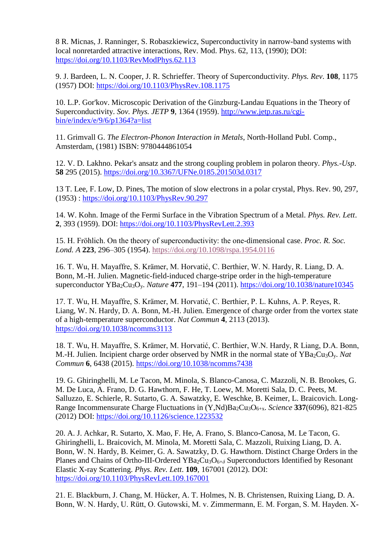8 R. Micnas, J. Ranninger, S. Robaszkiewicz, Superconductivity in narrow-band systems with local nonretarded attractive interactions, Rev. Mod. Phys. 62, 113, (1990); DOI: <https://doi.org/10.1103/RevModPhys.62.113>

9. J. Bardeen, L. N. Cooper, J. R. Schrieffer. Theory of Superconductivity. *Phys. Rev*. **108**, 1175 (1957) DOI:<https://doi.org/10.1103/PhysRev.108.1175>

10. L.P. Gor'kov. Microscopic Derivation of the Ginzburg-Landau Equations in the Theory of Superconductivity. *Sov. Phys. JETP* **9**, 1364 (1959). http://www.jetp.ras.ru/cgibin/e/index/e/9/6/p1364?a=list

11. Grimvall G. *The Electron-Phonon Interaction in Metals*, North-Holland Publ. Comp., Amsterdam, (1981) ISBN: 9780444861054

12. V. D. Lakhno. Pekar's ansatz and the strong coupling problem in polaron theory. *Phys.-Usp*. **58** 295 (2015).<https://doi.org/10.3367/UFNe.0185.201503d.0317>

13 T. Lee, F. Low, D. Pines, The motion of slow electrons in a polar crystal, Phys. Rev. 90, 297, (1953) : <https://doi.org/10.1103/PhysRev.90.297>

14. W. Kohn. Image of the Fermi Surface in the Vibration Spectrum of a Metal. *Phys. Rev. Lett*. **2**, 393 (1959). DOI:<https://doi.org/10.1103/PhysRevLett.2.393>

15. H. Fröhlich. On the theory of superconductivity: the one-dimensional case. *Proc. R. Soc. Lond. A* **223**, 296–305 (1954).<https://doi.org/10.1098/rspa.1954.0116>

16. T. Wu, H. Mayaffre, S. Krämer, M. Horvatić, C. Berthier, W. N. Hardy, R. Liang, D. A. Bonn, M.-H. Julien. Magnetic-field-induced charge-stripe order in the high-temperature superconductor YBa2Cu3Oy. *Nature* **477**, 191–194 (2011).<https://doi.org/10.1038/nature10345>

17. T. Wu, H. Mayaffre, S. Krämer, M. Horvatić, C. Berthier, P. L. Kuhns, A. P. Reyes, R. Liang, W. N. Hardy, D. A. Bonn, M.-H. Julien. Emergence of charge order from the vortex state of a high-temperature superconductor. *Nat Commun* **4**, 2113 (2013). <https://doi.org/10.1038/ncomms3113>

18. T. Wu, H. Mayaffre, S. Krämer, M. Horvatić, C. Berthier, W.N. Hardy, R Liang, D.A. Bonn, M.-H. Julien. Incipient charge order observed by NMR in the normal state of YBa<sub>2</sub>Cu<sub>3</sub>O<sub>y</sub>. *Nat Commun* **6**, 6438 (2015).<https://doi.org/10.1038/ncomms7438>

19. G. Ghiringhelli, M. Le Tacon, M. Minola, S. Blanco-Canosa, C. Mazzoli, N. B. Brookes, G. M. De Luca, A. Frano, D. G. Hawthorn, F. He, T. Loew, M. Moretti Sala, D. C. Peets, M. Salluzzo, E. Schierle, R. Sutarto, G. A. Sawatzky, E. Weschke, B. Keimer, L. Braicovich. Long-Range Incommensurate Charge Fluctuations in (Y,Nd)Ba2Cu3O6+x. *Science* **337**(6096), 821-825 (2012) DOI:<https://doi.org/10.1126/science.1223532>

20. A. J. Achkar, R. Sutarto, X. Mao, F. He, A. Frano, S. Blanco-Canosa, M. Le Tacon, G. Ghiringhelli, L. Braicovich, M. Minola, M. Moretti Sala, C. Mazzoli, Ruixing Liang, D. A. Bonn, W. N. Hardy, B. Keimer, G. A. Sawatzky, D. G. Hawthorn. Distinct Charge Orders in the Planes and Chains of Ortho-III-Ordered YBa<sub>2</sub>Cu<sub>3</sub>O<sub>6+δ</sub> Superconductors Identified by Resonant Elastic X-ray Scattering. *Phys. Rev. Lett*. **109**, 167001 (2012). DOI: <https://doi.org/10.1103/PhysRevLett.109.167001>

21. E. Blackburn, J. Chang, M. Hücker, A. T. Holmes, N. B. Christensen, Ruixing Liang, D. A. Bonn, W. N. Hardy, U. Rütt, O. Gutowski, M. v. Zimmermann, E. M. Forgan, S. M. Hayden. X-